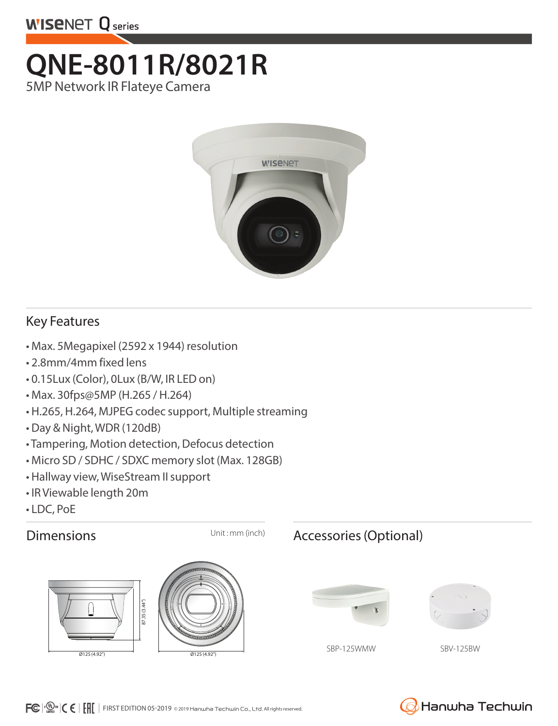

## **QNE-8011R/8021R**  5MP Network IR Flateye Camera



## Key Features

- Max. 5Megapixel (2592 x 1944) resolution
- 2.8mm/4mm fixed lens
- 0.15Lux (Color), 0Lux (B/W, IR LED on)
- Max. 30fps@5MP (H.265 / H.264)
- H.265, H.264, MJPEG codec support, Multiple streaming
- Day & Night, WDR (120dB)
- Tampering, Motion detection, Defocus detection
- Micro SD / SDHC / SDXC memory slot (Max. 128GB)
- Hallway view, WiseStream II support
- IR Viewable length 20m
- LDC, PoE





## Dimensions Unit: mm (inch) Accessories (Optional)





SBP-125WMW SBV-125BW

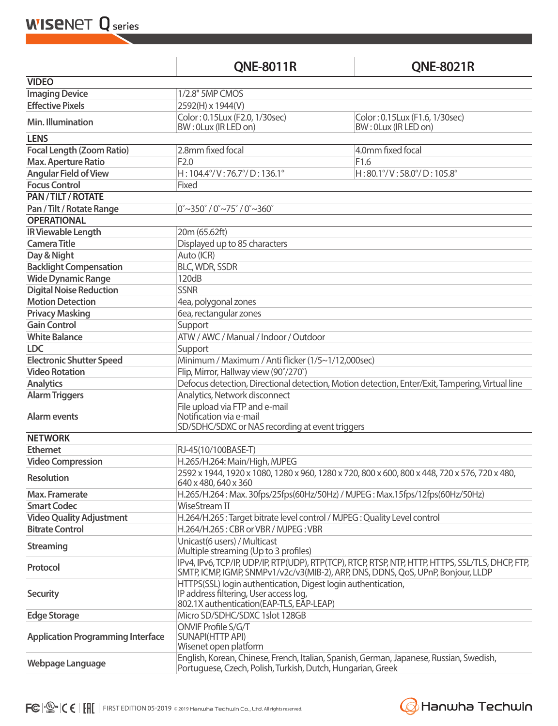**WISENET Q** series

**QNE-8011R QNE-8021R**

| <b>VIDEO</b>                                                                                                          |                                                                                                                                                                                       |                                                        |  |
|-----------------------------------------------------------------------------------------------------------------------|---------------------------------------------------------------------------------------------------------------------------------------------------------------------------------------|--------------------------------------------------------|--|
| <b>Imaging Device</b>                                                                                                 | 1/2.8" 5MP CMOS                                                                                                                                                                       |                                                        |  |
| <b>Effective Pixels</b>                                                                                               | 2592(H) x 1944(V)                                                                                                                                                                     |                                                        |  |
| Min. Illumination                                                                                                     | Color: 0.15Lux (F2.0, 1/30sec)<br>BW: 0Lux (IR LED on)                                                                                                                                | Color: 0.15Lux (F1.6, 1/30sec)<br>BW: 0Lux (IR LED on) |  |
| <b>LENS</b>                                                                                                           |                                                                                                                                                                                       |                                                        |  |
| <b>Focal Length (Zoom Ratio)</b>                                                                                      | 2.8mm fixed focal                                                                                                                                                                     | 4.0mm fixed focal                                      |  |
| <b>Max. Aperture Ratio</b>                                                                                            | F2.0                                                                                                                                                                                  | F1.6                                                   |  |
| <b>Angular Field of View</b>                                                                                          | $H: 104.4^{\circ}/V: 76.7^{\circ}/D: 136.1^{\circ}$                                                                                                                                   | H:80.1°/V:58.0°/D:105.8°                               |  |
| <b>Focus Control</b>                                                                                                  | Fixed                                                                                                                                                                                 |                                                        |  |
| PAN / TILT / ROTATE                                                                                                   |                                                                                                                                                                                       |                                                        |  |
| $0^{\circ}$ ~350 $^{\circ}$ / 0 $^{\circ}$ ~75 $^{\circ}$ / 0 $^{\circ}$ ~360 $^{\circ}$<br>Pan / Tilt / Rotate Range |                                                                                                                                                                                       |                                                        |  |
| <b>OPERATIONAL</b>                                                                                                    |                                                                                                                                                                                       |                                                        |  |
| <b>IR Viewable Length</b>                                                                                             | 20m (65.62ft)                                                                                                                                                                         |                                                        |  |
| <b>Camera Title</b>                                                                                                   | Displayed up to 85 characters                                                                                                                                                         |                                                        |  |
| Day & Night                                                                                                           | Auto (ICR)                                                                                                                                                                            |                                                        |  |
| <b>Backlight Compensation</b>                                                                                         | <b>BLC, WDR, SSDR</b>                                                                                                                                                                 |                                                        |  |
| <b>Wide Dynamic Range</b>                                                                                             | 120dB                                                                                                                                                                                 |                                                        |  |
| <b>Digital Noise Reduction</b>                                                                                        | <b>SSNR</b>                                                                                                                                                                           |                                                        |  |
| <b>Motion Detection</b>                                                                                               | 4ea, polygonal zones                                                                                                                                                                  |                                                        |  |
| <b>Privacy Masking</b>                                                                                                | 6ea, rectangular zones                                                                                                                                                                |                                                        |  |
| <b>Gain Control</b>                                                                                                   | Support                                                                                                                                                                               |                                                        |  |
| <b>White Balance</b>                                                                                                  | ATW / AWC / Manual / Indoor / Outdoor                                                                                                                                                 |                                                        |  |
| <b>LDC</b>                                                                                                            | Support                                                                                                                                                                               |                                                        |  |
| <b>Electronic Shutter Speed</b>                                                                                       | Minimum / Maximum / Anti flicker (1/5~1/12,000sec)                                                                                                                                    |                                                        |  |
| <b>Video Rotation</b>                                                                                                 | Flip, Mirror, Hallway view (90°/270°)                                                                                                                                                 |                                                        |  |
| <b>Analytics</b>                                                                                                      | Defocus detection, Directional detection, Motion detection, Enter/Exit, Tampering, Virtual line                                                                                       |                                                        |  |
| <b>Alarm Triggers</b>                                                                                                 | Analytics, Network disconnect                                                                                                                                                         |                                                        |  |
| <b>Alarm events</b>                                                                                                   | File upload via FTP and e-mail<br>Notification via e-mail<br>SD/SDHC/SDXC or NAS recording at event triggers                                                                          |                                                        |  |
| <b>NETWORK</b>                                                                                                        |                                                                                                                                                                                       |                                                        |  |
| <b>Ethernet</b>                                                                                                       | RJ-45(10/100BASE-T)                                                                                                                                                                   |                                                        |  |
| <b>Video Compression</b>                                                                                              | H.265/H.264: Main/High, MJPEG                                                                                                                                                         |                                                        |  |
| <b>Resolution</b>                                                                                                     | 2592 x 1944, 1920 x 1080, 1280 x 960, 1280 x 720, 800 x 600, 800 x 448, 720 x 576, 720 x 480,<br>640 x 480, 640 x 360                                                                 |                                                        |  |
| Max. Framerate                                                                                                        | H.265/H.264: Max. 30fps/25fps(60Hz/50Hz) / MJPEG: Max.15fps/12fps(60Hz/50Hz)                                                                                                          |                                                        |  |
| <b>Smart Codec</b>                                                                                                    | <b>WiseStream II</b>                                                                                                                                                                  |                                                        |  |
| <b>Video Quality Adjustment</b>                                                                                       | H.264/H.265 : Target bitrate level control / MJPEG : Quality Level control                                                                                                            |                                                        |  |
| <b>Bitrate Control</b>                                                                                                | H.264/H.265: CBR or VBR / MJPEG: VBR                                                                                                                                                  |                                                        |  |
| <b>Streaming</b>                                                                                                      | Unicast(6 users) / Multicast<br>Multiple streaming (Up to 3 profiles)                                                                                                                 |                                                        |  |
| Protocol                                                                                                              | IPv4, IPv6, TCP/IP, UDP/IP, RTP(UDP), RTP(TCP), RTCP, RTSP, NTP, HTTP, HTTPS, SSL/TLS, DHCP, FTP,<br>SMTP, ICMP, IGMP, SNMPv1/v2c/v3(MIB-2), ARP, DNS, DDNS, QoS, UPnP, Bonjour, LLDP |                                                        |  |
| <b>Security</b>                                                                                                       | HTTPS(SSL) login authentication, Digest login authentication,<br>IP address filtering, User access log,<br>802.1X authentication(EAP-TLS, EAP-LEAP)                                   |                                                        |  |
| <b>Edge Storage</b>                                                                                                   | Micro SD/SDHC/SDXC 1slot 128GB                                                                                                                                                        |                                                        |  |
| <b>Application Programming Interface</b>                                                                              | ONVIF Profile S/G/T<br><b>SUNAPI(HTTP API)</b><br>Wisenet open platform                                                                                                               |                                                        |  |
| Webpage Language                                                                                                      | English, Korean, Chinese, French, Italian, Spanish, German, Japanese, Russian, Swedish,<br>Portuguese, Czech, Polish, Turkish, Dutch, Hungarian, Greek                                |                                                        |  |